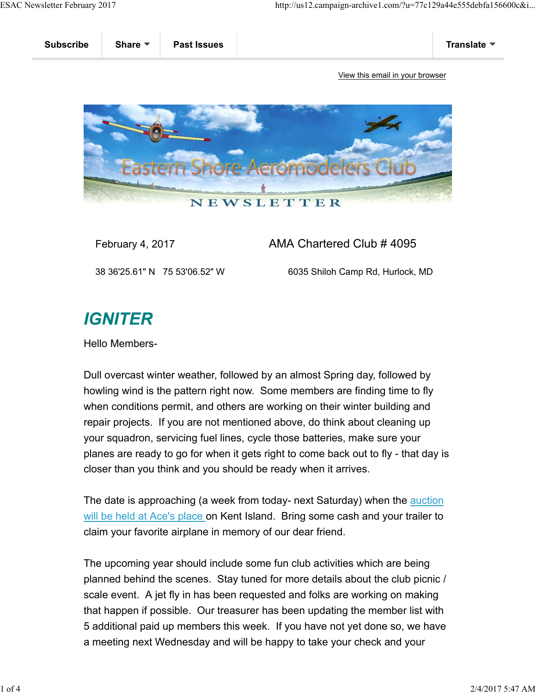

### February 4, 2017 **AMA Chartered Club # 4095**

38 36'25.61" N 75 53'06.52" W 6035 Shiloh Camp Rd, Hurlock, MD

# **IGNITER**

Hello Members-

Dull overcast winter weather, followed by an almost Spring day, followed by howling wind is the pattern right now. Some members are finding time to fly when conditions permit, and others are working on their winter building and repair projects. If you are not mentioned above, do think about cleaning up your squadron, servicing fuel lines, cycle those batteries, make sure your planes are ready to go for when it gets right to come back out to fly - that day is closer than you think and you should be ready when it arrives.

The date is approaching (a week from today- next Saturday) when the auction will be held at Ace's place on Kent Island. Bring some cash and your trailer to claim your favorite airplane in memory of our dear friend.

The upcoming year should include some fun club activities which are being planned behind the scenes. Stay tuned for more details about the club picnic / scale event. A jet fly in has been requested and folks are working on making that happen if possible. Our treasurer has been updating the member list with 5 additional paid up members this week. If you have not yet done so, we have a meeting next Wednesday and will be happy to take your check and your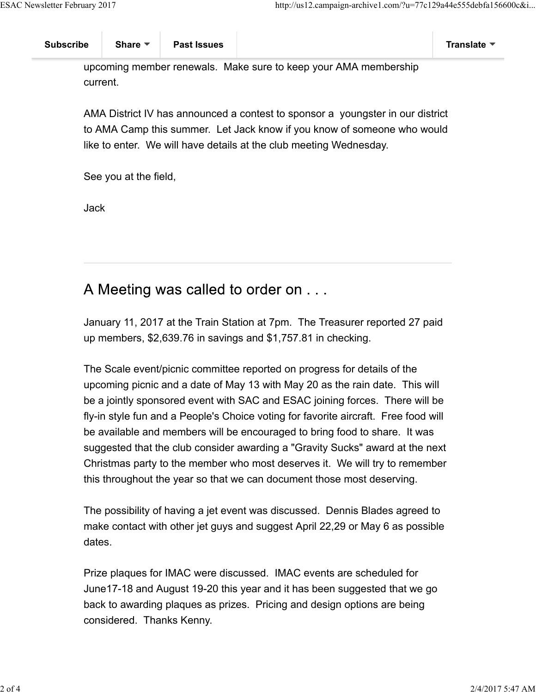upcoming member renewals. Make sure to keep your AMA membership current.

AMA District IV has announced a contest to sponsor a youngster in our district to AMA Camp this summer. Let Jack know if you know of someone who would like to enter. We will have details at the club meeting Wednesday.

See you at the field,

Jack

## A Meeting was called to order on . . .

January 11, 2017 at the Train Station at 7pm. The Treasurer reported 27 paid up members, \$2,639.76 in savings and \$1,757.81 in checking.

The Scale event/picnic committee reported on progress for details of the upcoming picnic and a date of May 13 with May 20 as the rain date. This will be a jointly sponsored event with SAC and ESAC joining forces. There will be fly-in style fun and a People's Choice voting for favorite aircraft. Free food will be available and members will be encouraged to bring food to share. It was suggested that the club consider awarding a "Gravity Sucks" award at the next Christmas party to the member who most deserves it. We will try to remember this throughout the year so that we can document those most deserving.

The possibility of having a jet event was discussed. Dennis Blades agreed to make contact with other jet guys and suggest April 22,29 or May 6 as possible dates.

Prize plaques for IMAC were discussed. IMAC events are scheduled for June17-18 and August 19-20 this year and it has been suggested that we go back to awarding plaques as prizes. Pricing and design options are being considered. Thanks Kenny.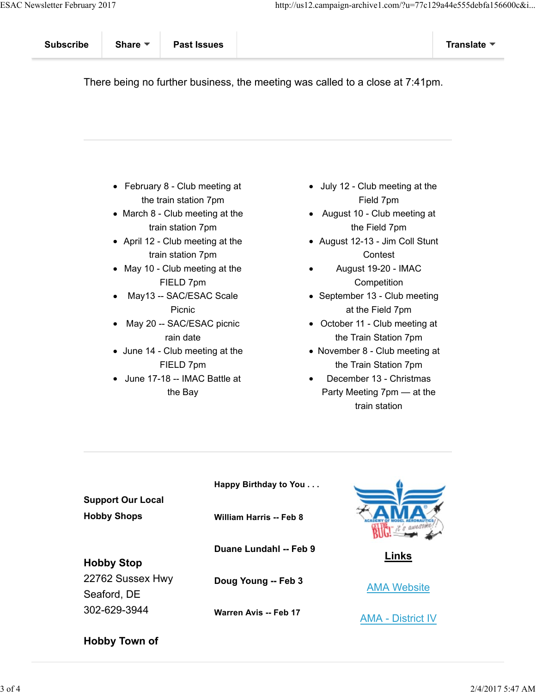There being no further business, the meeting was called to a close at 7:41pm.

- February 8 Club meeting at the train station 7pm
- March 8 Club meeting at the train station 7pm
- April 12 Club meeting at the train station 7pm
- May 10 Club meeting at the FIELD 7pm
- May13 -- SAC/ESAC Scale Picnic
- May 20 -- SAC/ESAC picnic rain date
- June 14 Club meeting at the FIELD 7pm
- June 17-18 -- IMAC Battle at the Bay
- July 12 Club meeting at the Field 7pm
- August 10 Club meeting at the Field 7pm
- August 12-13 Jim Coll Stunt **Contest**
- August 19-20 IMAC **Competition**
- September 13 Club meeting at the Field 7pm
- October 11 Club meeting at the Train Station 7pm
- November 8 Club meeting at the Train Station 7pm
- December 13 Christmas Party Meeting 7pm — at the train station

|                                                | Happy Birthday to You          |                          |
|------------------------------------------------|--------------------------------|--------------------------|
| <b>Support Our Local</b><br><b>Hobby Shops</b> | <b>William Harris -- Feb 8</b> |                          |
|                                                |                                |                          |
|                                                | Duane Lundahl -- Feb 9         | <b>Links</b>             |
| <b>Hobby Stop</b>                              |                                |                          |
| 22762 Sussex Hwy                               | Doug Young -- Feb 3            |                          |
| Seaford, DE                                    |                                | <b>AMA Website</b>       |
| 302-629-3944                                   | Warren Avis -- Feb 17          | <b>AMA - District IV</b> |

### **Hobby Town of**